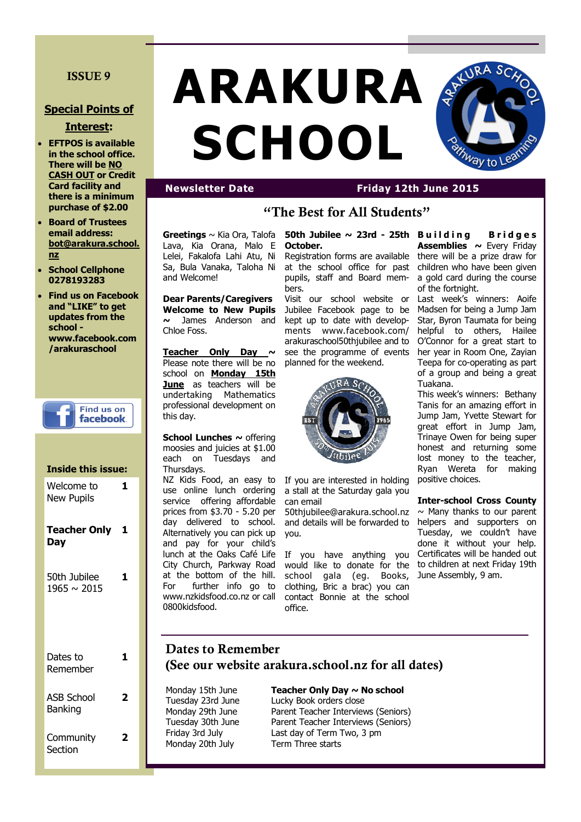## **ISSUE 9**

### **Special Points of**

#### **Interest:**

- **EFTPOS is available in the school office. There will be NO CASH OUT or Credit Card facility and there is a minimum purchase of \$2.00**
- **Board of Trustees email address: bot@arakura.school. nz**
- **School Cellphone 0278193283**
- **Find us on Facebook and "LIKE" to get updates from the school www.facebook.com /arakuraschool**



# **Inside this issue:** Welcome to New Pupils **1 Teacher Only 1 Day** 50th Jubilee 1965 ~ 2015 **1** Dates to Remember **1** ASB School Banking **2 Community Section 2**

# **ARAKURA SCHOOL**



Lelei, Fakalofa Lahi Atu, Ni Sa, Bula Vanaka, Taloha Ni

**Dear Parents/Caregivers Welcome to New Pupils ~** James Anderson and

**Teacher Only Day ~**  Please note there will be no school on **Monday 15th June** as teachers will be undertaking Mathematics professional development on

**School Lunches ~** offering moosies and juicies at \$1.00 each on Tuesdays and

NZ Kids Food, an easy to use online lunch ordering service offering affordable prices from \$3.70 - 5.20 per day delivered to school. Alternatively you can pick up and pay for your child's

City Church, Parkway Road at the bottom of the hill. For further info go to www.nzkidsfood.co.nz or call

and Welcome!

Chloe Foss.

this day.

Thursdays.

0800kidsfood.

# **"The Best for All Students"**

**Greetings** ~ Kia Ora, Talofa Lava, Kia Orana, Malo E **October.** 

> Registration forms are available at the school office for past pupils, staff and Board members.

> Visit our school website or Jubilee Facebook page to be kept up to date with developments www.facebook.com/ arakuraschool50thjubilee and to see the programme of events planned for the weekend.



If you are interested in holding a stall at the Saturday gala you can email

50thjubilee@arakura.school.nz and details will be forwarded to you.

lunch at the Oaks Café Life If you have anything you would like to donate for the school gala (eg. Books, clothing, Bric a brac) you can contact Bonnie at the school office.

**50th Jubilee ~ 23rd - 25th B u i l d i n g B r i d g e s Assemblies ~** Every Friday there will be a prize draw for children who have been given a gold card during the course of the fortnight.

REXURA SC

 $^{\prime\nu}$ ay to

Last week's winners: Aoife Madsen for being a Jump Jam Star, Byron Taumata for being helpful to others, Hailee O'Connor for a great start to her year in Room One, Zayian Teepa for co-operating as part of a group and being a great Tuakana.

This week's winners: Bethany Tanis for an amazing effort in Jump Jam, Yvette Stewart for great effort in Jump Jam, Trinaye Owen for being super honest and returning some lost money to the teacher, Ryan Wereta for making positive choices.

**Inter-school Cross County**   $\sim$  Many thanks to our parent helpers and supporters on Tuesday, we couldn't have done it without your help. Certificates will be handed out to children at next Friday 19th June Assembly, 9 am.

# **Dates to Remember (See our website arakura.school.nz for all dates)**

Monday 15th June **Teacher Only Day ~ No school** Monday 20th July Term Three starts

#### Tuesday 23rd June Lucky Book orders close Monday 29th June Parent Teacher Interviews (Seniors) Tuesday 30th June Parent Teacher Interviews (Seniors) Friday 3rd July Last day of Term Two, 3 pm